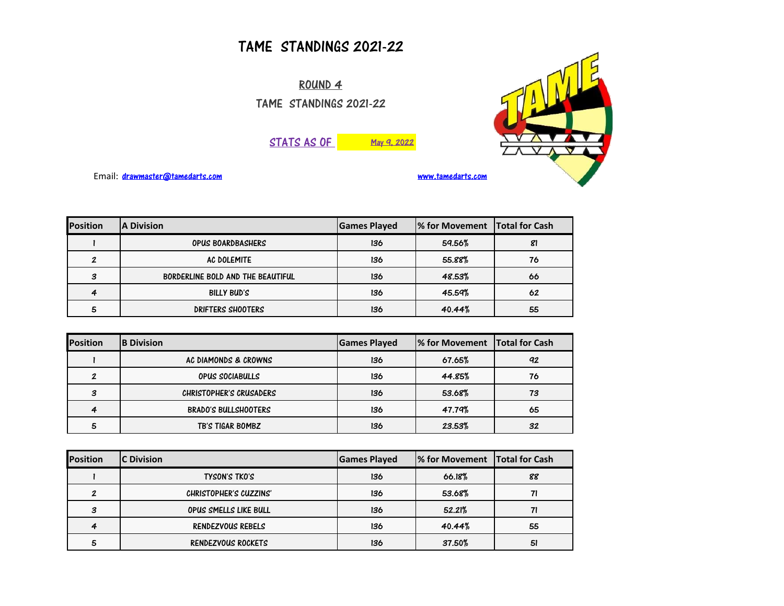## TAME STANDINGS 2021-22

ROUND 4 TAME STANDINGS 2021-22





Email: [drawmaster@tamedarts.com](mailto:drawmaster@tamedarts.com) [www.tamedarts.com](http://www.tamedarts.com/)

| <b>Position</b> | <b>A Division</b>                 | <b>Games Played</b> | <sup>1</sup> % for Movement Total for Cash |    |
|-----------------|-----------------------------------|---------------------|--------------------------------------------|----|
|                 | <b>OPUS BOARDBASHERS</b>          | 136                 | 59.56%                                     | 81 |
|                 | AC DOLEMITE                       | 136                 | 55.88%                                     | 76 |
| З               | BORDERLINE BOLD AND THE BEAUTIFUL | 136                 | 48.53%                                     | 66 |
|                 | BILLY BUD'S                       | 136                 | 45.59%                                     | 62 |
| 5               | DRIFTERS SHOOTERS                 | 136                 | 40.44%                                     | 55 |

| <b>Position</b> | <b>B</b> Division       | <b>Games Played</b> | 1% for Movement Total for Cash |    |
|-----------------|-------------------------|---------------------|--------------------------------|----|
|                 | AC DIAMONDS & CROWNS    | 136                 | 67.65%                         | 92 |
| 2               | OPUS SOCIABULLS         | 136                 | 44.85%                         | 76 |
| 3               | CHRISTOPHER'S CRUSADERS | 136                 | 53.68%                         | 73 |
| 4               | BRADO'S BULLSHOOTERS    | 136                 | 47.79%                         | 65 |
|                 | TB'S TIGAR BOMBZ        | 136                 | 23.53%                         | 32 |

| <b>Position</b> | <b>C</b> Division      | <b>Games Played</b> | 1% for Movement Total for Cash |    |
|-----------------|------------------------|---------------------|--------------------------------|----|
|                 | <b>TYSON'S TKO'S</b>   | 136                 | 66.18%                         | 88 |
|                 | CHRISTOPHER'S CUZZINS' | 136                 | 53.68%                         |    |
| з               | OPUS SMELLS LIKE BULL  | 136                 | 52.21%                         |    |
|                 | RENDEZVOUS REBELS      | 136                 | 40.44%                         | 55 |
|                 | RENDEZVOUS ROCKETS     | 136                 | 37.50%                         | 51 |